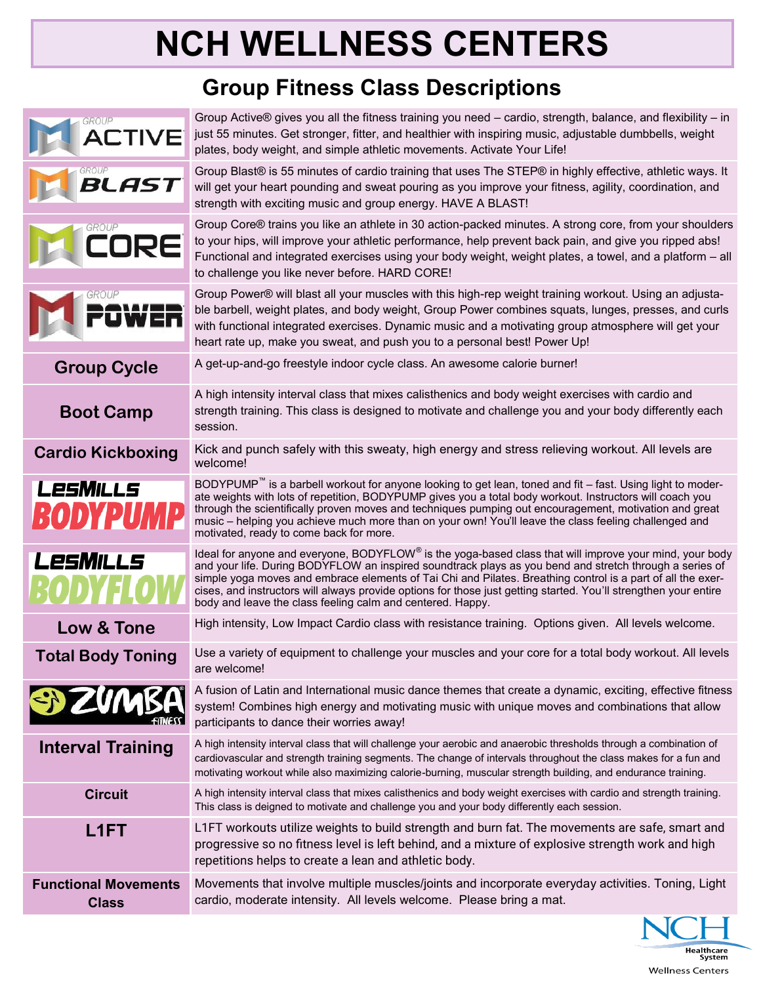## **NCH WELLNESS CENTERS**

## **Group Fitness Class Descriptions**

| GROUP                                       | Group Active® gives you all the fitness training you need – cardio, strength, balance, and flexibility – in<br>just 55 minutes. Get stronger, fitter, and healthier with inspiring music, adjustable dumbbells, weight<br>plates, body weight, and simple athletic movements. Activate Your Life!                                                                                                                                                                                                                   |
|---------------------------------------------|---------------------------------------------------------------------------------------------------------------------------------------------------------------------------------------------------------------------------------------------------------------------------------------------------------------------------------------------------------------------------------------------------------------------------------------------------------------------------------------------------------------------|
| GROUP<br>BLAS                               | Group Blast® is 55 minutes of cardio training that uses The STEP® in highly effective, athletic ways. It<br>will get your heart pounding and sweat pouring as you improve your fitness, agility, coordination, and<br>strength with exciting music and group energy. HAVE A BLAST!                                                                                                                                                                                                                                  |
| <b>GROUP</b>                                | Group Core® trains you like an athlete in 30 action-packed minutes. A strong core, from your shoulders<br>to your hips, will improve your athletic performance, help prevent back pain, and give you ripped abs!<br>Functional and integrated exercises using your body weight, weight plates, a towel, and a platform - all<br>to challenge you like never before. HARD CORE!                                                                                                                                      |
|                                             | Group Power® will blast all your muscles with this high-rep weight training workout. Using an adjusta-<br>ble barbell, weight plates, and body weight, Group Power combines squats, lunges, presses, and curls<br>with functional integrated exercises. Dynamic music and a motivating group atmosphere will get your<br>heart rate up, make you sweat, and push you to a personal best! Power Up!                                                                                                                  |
| <b>Group Cycle</b>                          | A get-up-and-go freestyle indoor cycle class. An awesome calorie burner!                                                                                                                                                                                                                                                                                                                                                                                                                                            |
| <b>Boot Camp</b>                            | A high intensity interval class that mixes calisthenics and body weight exercises with cardio and<br>strength training. This class is designed to motivate and challenge you and your body differently each<br>session.                                                                                                                                                                                                                                                                                             |
| <b>Cardio Kickboxing</b>                    | Kick and punch safely with this sweaty, high energy and stress relieving workout. All levels are<br>welcome!                                                                                                                                                                                                                                                                                                                                                                                                        |
| LesMills<br>ODYP                            | BODYPUMP <sup>™</sup> is a barbell workout for anyone looking to get lean, toned and fit – fast. Using light to moder-<br>ate weights with lots of repetition, BODYPUMP gives you a total body workout. Instructors will coach you<br>through the scientifically proven moves and techniques pumping out encouragement, motivation and great<br>music - helping you achieve much more than on your own! You'll leave the class feeling challenged and<br>motivated, ready to come back for more.                    |
| LesMILLS                                    | Ideal for anyone and everyone, BODYFLOW® is the yoga-based class that will improve your mind, your body<br>and your life. During BODYFLOW an inspired soundtrack plays as you bend and stretch through a series of<br>simple yoga moves and embrace elements of Tai Chi and Pilates. Breathing control is a part of all the exer-<br>cises, and instructors will always provide options for those just getting started. You'll strengthen your entire<br>body and leave the class feeling calm and centered. Happy. |
| Low & Tone                                  | High intensity, Low Impact Cardio class with resistance training. Options given. All levels welcome.                                                                                                                                                                                                                                                                                                                                                                                                                |
| <b>Total Body Toning</b>                    | Use a variety of equipment to challenge your muscles and your core for a total body workout. All levels<br>are welcome!                                                                                                                                                                                                                                                                                                                                                                                             |
| SIZU                                        | A fusion of Latin and International music dance themes that create a dynamic, exciting, effective fitness<br>system! Combines high energy and motivating music with unique moves and combinations that allow<br>participants to dance their worries away!                                                                                                                                                                                                                                                           |
| <b>Interval Training</b>                    | A high intensity interval class that will challenge your aerobic and anaerobic thresholds through a combination of<br>cardiovascular and strength training segments. The change of intervals throughout the class makes for a fun and<br>motivating workout while also maximizing calorie-burning, muscular strength building, and endurance training.                                                                                                                                                              |
| <b>Circuit</b>                              | A high intensity interval class that mixes calisthenics and body weight exercises with cardio and strength training.<br>This class is deigned to motivate and challenge you and your body differently each session.                                                                                                                                                                                                                                                                                                 |
| L1FT                                        | L1FT workouts utilize weights to build strength and burn fat. The movements are safe, smart and<br>progressive so no fitness level is left behind, and a mixture of explosive strength work and high<br>repetitions helps to create a lean and athletic body.                                                                                                                                                                                                                                                       |
| <b>Functional Movements</b><br><b>Class</b> | Movements that involve multiple muscles/joints and incorporate everyday activities. Toning, Light<br>cardio, moderate intensity. All levels welcome. Please bring a mat.                                                                                                                                                                                                                                                                                                                                            |
|                                             |                                                                                                                                                                                                                                                                                                                                                                                                                                                                                                                     |

Healthcare<br>System **Wellness Centers**